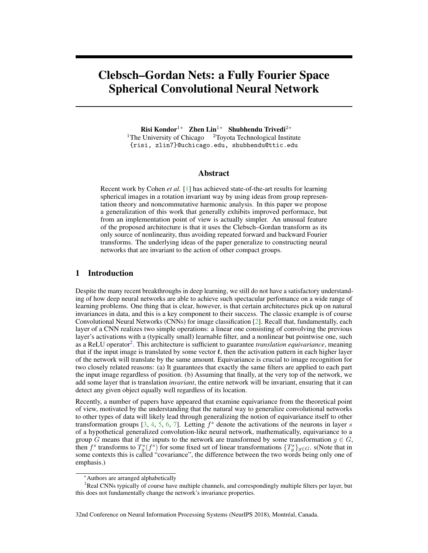# Clebsch–Gordan Nets: a Fully Fourier Space Spherical Convolutional Neural Network

Risi Kondor<sup>1</sup>\* Zhen Lin<sup>1</sup>\* Shubhendu Trivedi<sup>2</sup>\* <sup>1</sup>The University of Chicago  $\frac{2 \text{Toyota} \text{ Technical Institute}}{2 \text{Total Value}}$ {risi, zlin7}@uchicago.edu, shubhendu@ttic.edu

## Abstract

Recent work by Cohen *et al.* [1] has achieved state-of-the-art results for learning spherical images in a rotation invariant way by using ideas from group representation theory and noncommutative harmonic analysis. In this paper we propose a generalization of this work that generally exhibits improved performace, but from an implementation point of view is actually simpler. An unusual feature of the proposed architecture is that it uses the Clebsch–Gordan transform as its only source of nonlinearity, thus avoiding repeated forward and backward Fourier transforms. The underlying ideas of the paper generalize to constructing neural networks that are invariant to the action of other compact groups.

# 1 Introduction

Despite the many recent breakthroughs in deep learning, we still do not have a satisfactory understanding of how deep neural networks are able to achieve such spectacular perfomance on a wide range of learning problems. One thing that is clear, however, is that certain architectures pick up on natural invariances in data, and this is a key component to their success. The classic example is of course Convolutional Neural Networks (CNNs) for image classification [2]. Recall that, fundamentally, each layer of a CNN realizes two simple operations: a linear one consisting of convolving the previous layer's activations with a (typically small) learnable filter, and a nonlinear but pointwise one, such as a ReLU operator<sup>2</sup>. This architecture is sufficient to guarantee *translation equivariance*, meaning that if the input image is translated by some vector  $t$ , then the activation pattern in each higher layer of the network will translate by the same amount. Equivariance is crucial to image recognition for two closely related reasons: (a) It guarantees that exactly the same filters are applied to each part the input image regardless of position. (b) Assuming that finally, at the very top of the network, we add some layer that is translation *invariant*, the entire network will be invariant, ensuring that it can detect any given object equally well regardless of its location.

Recently, a number of papers have appeared that examine equivariance from the theoretical point of view, motivated by the understanding that the natural way to generalize convolutional networks to other types of data will likely lead through generalizing the notion of equivariance itself to other transformation groups  $[3, 4, 5, 6, 7]$ . Letting  $f<sup>s</sup>$  denote the activations of the neurons in layer s of a hypothetical generalized convolution-like neural network, mathematically, equivariance to a group G means that if the inputs to the network are transformed by some transformation  $g \in G$ , then  $f^s$  transforms to  $T^s_g(f^s)$  for some fixed set of linear transformations  $\{T^s_g\}_{g\in G}$ . s(Note that in some contexts this is called "covariance", the difference between the two words being only one of emphasis.)

<sup>∗</sup>Authors are arranged alphabetically

<sup>&</sup>lt;sup>2</sup>Real CNNs typically of course have multiple channels, and correspondingly multiple filters per layer, but this does not fundamentally change the network's invariance properties.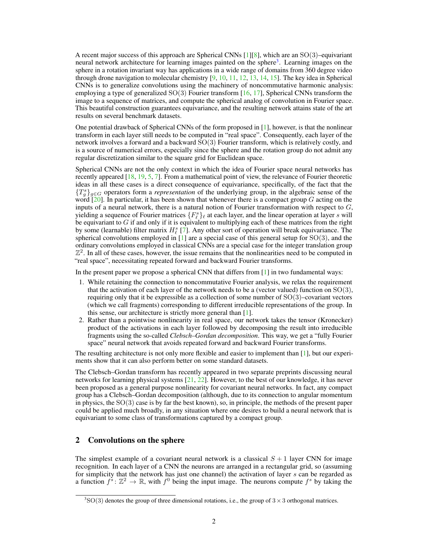A recent major success of this approach are Spherical CNNs  $[1][8]$ , which are an SO(3)–equivariant neural network architecture for learning images painted on the sphere<sup>3</sup>. Learning images on the sphere in a rotation invariant way has applications in a wide range of domains from 360 degree video through drone navigation to molecular chemistry  $[9, 10, 11, 12, 13, 14, 15]$ . The key idea in Spherical CNNs is to generalize convolutions using the machinery of noncommutative harmonic analysis: employing a type of generalized  $SO(3)$  Fourier transform  $[16, 17]$ , Spherical CNNs transform the image to a sequence of matrices, and compute the spherical analog of convolution in Fourier space. This beautiful construction guarantees equivariance, and the resulting network attains state of the art results on several benchmark datasets.

One potential drawback of Spherical CNNs of the form proposed in  $[1]$ , however, is that the nonlinear transform in each layer still needs to be computed in "real space". Consequently, each layer of the network involves a forward and a backward SO(3) Fourier transform, which is relatively costly, and is a source of numerical errors, especially since the sphere and the rotation group do not admit any regular discretization similar to the square grid for Euclidean space.

Spherical CNNs are not the only context in which the idea of Fourier space neural networks has recently appeared [18, 19, 5, 7]. From a mathematical point of view, the relevance of Fourier theoretic ideas in all these cases is a direct consequence of equivariance, specifically, of the fact that the  ${T_s \brace g \in G}$  operators form a *representation* of the underlying group, in the algebraic sense of the word  $[20]$ . In particular, it has been shown that whenever there is a compact group G acting on the inputs of a neural network, there is a natural notion of Fourier transformation with respect to  $G$ , yielding a sequence of Fourier matrices  $\{F_{\ell}^{s}\}_{\ell}$  at each layer, and the linear operation at layer s will be equivariant to G if and only if it is equivalent to multiplying each of these matrices from the right by some (learnable) filter matrix  $H^s_{\ell}$  [7]. Any other sort of operation will break equivariance. The spherical convolutions employed in  $[1]$  are a special case of this general setup for  $SO(3)$ , and the ordinary convolutions employed in classical CNNs are a special case for the integer translation group  $\mathbb{Z}^2$ . In all of these cases, however, the issue remains that the nonlinearities need to be computed in "real space", necessitating repeated forward and backward Fourier transforms.

In the present paper we propose a spherical CNN that differs from [1] in two fundamental ways:

- 1. While retaining the connection to noncommutative Fourier analysis, we relax the requirement that the activation of each layer of the network needs to be a (vector valued) function on  $SO(3)$ , requiring only that it be expressible as a collection of some number of  $SO(3)$ –covariant vectors (which we call fragments) corresponding to different irreducible representations of the group. In this sense, our architecture is strictly more general than [1].
- 2. Rather than a pointwise nonlinearity in real space, our network takes the tensor (Kronecker) product of the activations in each layer followed by decomposing the result into irreducible fragments using the so-called *Clebsch–Gordan decomposition*. This way, we get a "fully Fourier space" neural network that avoids repeated forward and backward Fourier transforms.

The resulting architecture is not only more flexible and easier to implement than [1], but our experiments show that it can also perform better on some standard datasets.

The Clebsch–Gordan transform has recently appeared in two separate preprints discussing neural networks for learning physical systems [21, 22]. However, to the best of our knowledge, it has never been proposed as a general purpose nonlinearity for covariant neural networks. In fact, any compact group has a Clebsch–Gordan decomposition (although, due to its connection to angular momentum in physics, the  $SO(3)$  case is by far the best known), so, in principle, the methods of the present paper could be applied much broadly, in any situation where one desires to build a neural network that is equivariant to some class of transformations captured by a compact group.

# 2 Convolutions on the sphere

The simplest example of a covariant neural network is a classical  $S + 1$  layer CNN for image recognition. In each layer of a CNN the neurons are arranged in a rectangular grid, so (assuming for simplicity that the network has just one channel) the activation of layer s can be regarded as a function  $f^s \colon \mathbb{Z}^2 \to \mathbb{R}$ , with  $f^0$  being the input image. The neurons compute  $f^s$  by taking the

 ${}^{3}$ SO(3) denotes the group of three dimensional rotations, i.e., the group of  $3 \times 3$  orthogonal matrices.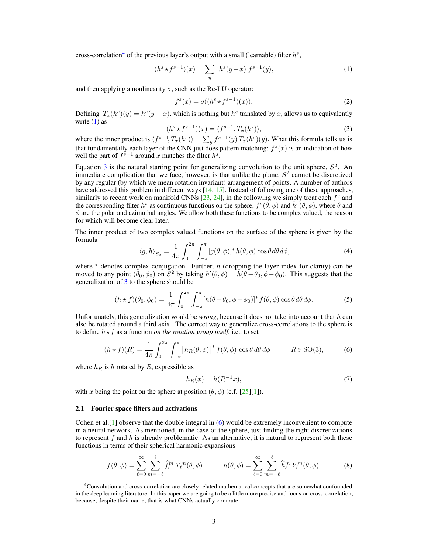cross-correlation<sup>4</sup> of the previous layer's output with a small (learnable) filter  $h^s$ ,

$$
(h^s \star f^{s-1})(x) = \sum_{y} h^s(y-x) f^{s-1}(y), \tag{1}
$$

and then applying a nonlinearity  $\sigma$ , such as the Re-LU operator:

$$
f^{s}(x) = \sigma((h^{s} \star f^{s-1})(x)).
$$
\n<sup>(2)</sup>

Defining  $T_x(h^s)(y) = h^s(y - x)$ , which is nothing but  $h^s$  translated by x, allows us to equivalently write  $(1)$  as

$$
(hs \star fs-1)(x) = \langle fs-1, Tx(hs) \rangle,
$$
 (3)

where the inner product is  $\langle f^{s-1}, T_x(h^s) \rangle = \sum_y f^{s-1}(y) T_x(h^s)(y)$ . What this formula tells us is that fundamentally each layer of the CNN just does pattern matching:  $f^{s}(x)$  is an indication of how well the part of  $f^{s-1}$  around x matches the filter  $h^s$ .

Equation 3 is the natural starting point for generalizing convolution to the unit sphere,  $S^2$ . An immediate complication that we face, however, is that unlike the plane,  $S<sup>2</sup>$  cannot be discretized by any regular (by which we mean rotation invariant) arrangement of points. A number of authors have addressed this problem in different ways  $[14, 15]$ . Instead of following one of these approaches, similarly to recent work on manifold CNNs  $[23, 24]$ , in the following we simply treat each  $f<sup>s</sup>$  and the corresponding filter  $h^s$  as continuous functions on the sphere,  $f^s(\theta, \phi)$  and  $\bar{h}^s(\theta, \phi)$ , where  $\theta$  and  $\phi$  are the polar and azimuthal angles. We allow both these functions to be complex valued, the reason for which will become clear later.

The inner product of two complex valued functions on the surface of the sphere is given by the formula

$$
\langle g, h \rangle_{S_2} = \frac{1}{4\pi} \int_0^{2\pi} \int_{-\pi}^{\pi} [g(\theta, \phi)]^* h(\theta, \phi) \cos \theta d\theta d\phi, \tag{4}
$$

where  $*$  denotes complex conjugation. Further, h (dropping the layer index for clarity) can be moved to any point  $(\bar{\theta}_0, \phi_0)$  on  $\bar{S}^2$  by taking  $h'(\theta, \phi) = h(\theta - \theta_0, \phi - \phi_0)$ . This suggests that the generalization of 3 to the sphere should be

$$
(h * f)(\theta_0, \phi_0) = \frac{1}{4\pi} \int_0^{2\pi} \int_{-\pi}^{\pi} [h(\theta - \theta_0, \phi - \phi_0)]^* f(\theta, \phi) \cos \theta \, d\theta \, d\phi. \tag{5}
$$

Unfortunately, this generalization would be *wrong*, because it does not take into account that h can also be rotated around a third axis. The correct way to generalize cross-correlations to the sphere is to define  $h \star f$  as a function *on the rotation group itself*, i.e., to set

$$
(h \star f)(R) = \frac{1}{4\pi} \int_0^{2\pi} \int_{-\pi}^{\pi} \left[ h_R(\theta, \phi) \right]^* f(\theta, \phi) \cos \theta \, d\theta \, d\phi \qquad R \in \text{SO}(3),\tag{6}
$$

where  $h_R$  is h rotated by R, expressible as

$$
h_R(x) = h(R^{-1}x),\tag{7}
$$

with x being the point on the sphere at position  $(\theta, \phi)$  (c.f. [25][1]).

#### 2.1 Fourier space filters and activations

Cohen et al.  $[1]$  observe that the double integral in (6) would be extremely inconvenient to compute in a neural network. As mentioned, in the case of the sphere, just finding the right discretizations to represent  $f$  and  $h$  is already problematic. As an alternative, it is natural to represent both these functions in terms of their spherical harmonic expansions

$$
f(\theta,\phi) = \sum_{\ell=0}^{\infty} \sum_{m=-\ell}^{\ell} \widehat{f}_{\ell}^{m} Y_{\ell}^{m}(\theta,\phi) \qquad h(\theta,\phi) = \sum_{\ell=0}^{\infty} \sum_{m=-\ell}^{\ell} \widehat{h}_{\ell}^{m} Y_{\ell}^{m}(\theta,\phi). \qquad (8)
$$

<sup>4</sup>Convolution and cross-correlation are closely related mathematical concepts that are somewhat confounded in the deep learning literature. In this paper we are going to be a little more precise and focus on cross-correlation, because, despite their name, that is what CNNs actually compute.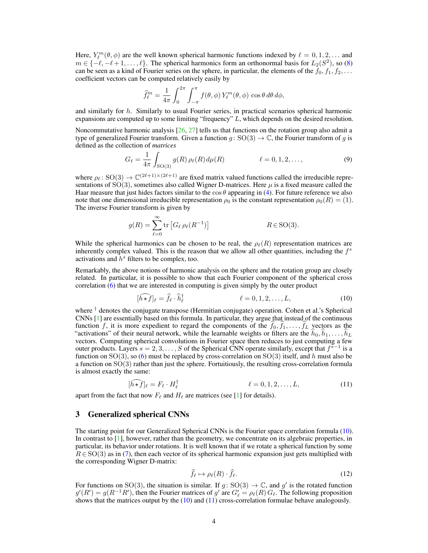Here,  $Y_{\ell}^{m}(\theta, \phi)$  are the well known spherical harmonic functions indexed by  $\ell = 0, 1, 2, \dots$  and  $m \in \{-\ell, -\ell + 1, \ldots, \ell\}$ . The spherical harmonics form an orthonormal basis for  $L_2(S^2)$ , so (8) can be seen as a kind of Fourier series on the sphere, in particular, the elements of the  $f_0, f_1, f_2, \ldots$ coefficient vectors can be computed relatively easily by

$$
\widehat{f}_{\ell}^{m} = \frac{1}{4\pi} \int_{0}^{2\pi} \int_{-\pi}^{\pi} f(\theta, \phi) Y_{\ell}^{m}(\theta, \phi) \cos \theta \, d\theta \, d\phi,
$$

and similarly for  $h$ . Similarly to usual Fourier series, in practical scenarios spherical harmonic expansions are computed up to some limiting "frequency" L, which depends on the desired resolution.

Noncommutative harmonic analysis [26, 27] tells us that functions on the rotation group also admit a type of generalized Fourier transform. Given a function  $g: SO(3) \to \mathbb{C}$ , the Fourier transform of g is defined as the collection of *matrices*

$$
G_{\ell} = \frac{1}{4\pi} \int_{\text{SO}(3)} g(R) \,\rho_{\ell}(R) \,d\mu(R) \qquad \ell = 0, 1, 2, \dots,
$$
 (9)

where  $\rho_{\ell} : SO(3) \to \mathbb{C}^{(2\ell+1)\times(2\ell+1)}$  are fixed matrix valued functions called the irreducible representations of  $SO(3)$ , sometimes also called Wigner D-matrices. Here  $\mu$  is a fixed measure called the Haar measure that just hides factors similar to the  $\cos \theta$  appearing in (4). For future reference we also note that one dimensional irreducible representation  $\rho_0$  is the constant representation  $\rho_0(R) = (1)$ . The inverse Fourier transform is given by

$$
g(R) = \sum_{\ell=0}^{\infty} \text{tr}\left[G_{\ell} \rho_{\ell}(R^{-1})\right] \qquad R \in \text{SO}(3).
$$

While the spherical harmonics can be chosen to be real, the  $\rho_{\ell}(R)$  representation matrices are inherently complex valued. This is the reason that we allow all other quantities, including the  $f<sup>s</sup>$ activations and  $\hat{h}^s$  filters to be complex, too.

Remarkably, the above notions of harmonic analysis on the sphere and the rotation group are closely related. In particular, it is possible to show that each Fourier component of the spherical cross correlation (6) that we are interested in computing is given simply by the outer product

$$
[\widehat{h \star f}]_{\ell} = \widehat{f}_{\ell} \cdot \widehat{h}_{\ell}^{\dagger} \qquad \ell = 0, 1, 2, \dots, L, \qquad (10)
$$

where  $\dagger$  denotes the conjugate transpose (Hermitian conjugate) operation. Cohen et al.'s Spherical CNNs [1] are essentially based on this formula. In particular, they argue that instead of the continuous function f, it is more expedient to regard the components of the  $f_0, f_1, \ldots, f_L$  vectors as the "activations" of their neural network, while the learnable weights or filters are the  $\hat{h}_0, \hat{h}_1, \ldots, \hat{h}_L$ vectors. Computing spherical convolutions in Fourier space then reduces to just computing a few outer products. Layers  $s = 2, 3, ..., S$  of the Spherical CNN operate similarly, except that  $f^{s-1}$  is a function on  $SO(3)$ , so (6) must be replaced by cross-correlation on  $SO(3)$  itself, and h must also be a function on SO(3) rather than just the sphere. Fortuitiously, the resulting cross-correlation formula is almost exactly the same:

$$
[\widehat{h \star f}]_{\ell} = F_{\ell} \cdot H_{\ell}^{\dagger} \qquad \ell = 0, 1, 2, \dots, L,\tag{11}
$$

apart from the fact that now  $F_\ell$  and  $H_\ell$  are matrices (see [1] for details).

## 3 Generalized spherical CNNs

The starting point for our Generalized Spherical CNNs is the Fourier space correlation formula (10). In contrast to [1], however, rather than the geometry, we concentrate on its algebraic properties, in particular, its behavior under rotations. It is well known that if we rotate a spherical function by some  $R \in SO(3)$  as in (7), then each vector of its spherical harmonic expansion just gets multiplied with the corresponding Wigner D-matrix:

$$
\widehat{f}_{\ell} \mapsto \rho_{\ell}(R) \cdot \widehat{f}_{\ell}.\tag{12}
$$

For functions on SO(3), the situation is similar. If  $g: SO(3) \to \mathbb{C}$ , and  $g'$  is the rotated function  $g'(R') = g(R^{-1}R')$ , then the Fourier matrices of  $g'$  are  $G'_{\ell} = \rho_{\ell}(R) G_{\ell}$ . The following proposition shows that the matrices output by the  $(10)$  and  $(11)$  cross-correlation formulae behave analogously.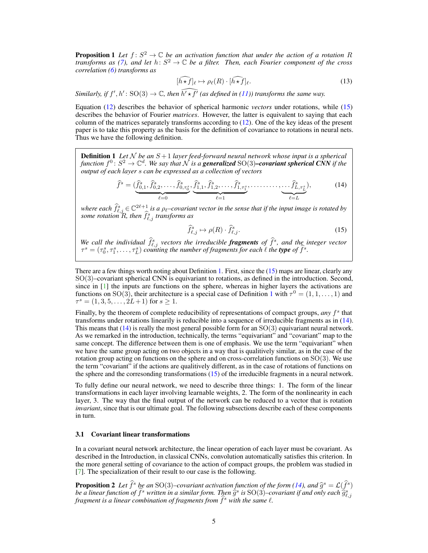**Proposition 1** Let  $f: S^2 \to \mathbb{C}$  be an activation function that under the action of a rotation R *transforms as (7), and let*  $h: S^2 \to \mathbb{C}$  *be a filter. Then, each Fourier component of the cross correlation (6) transforms as*

$$
[\widehat{h \star f}]_{\ell} \mapsto \rho_{\ell}(R) \cdot [\widehat{h \star f}]_{\ell}.\tag{13}
$$

*Similarly, if*  $f', h' : SO(3) \to \mathbb{C}$ , then  $\widehat{h' \star f'}$  (as defined in (11)) transforms the same way.

Equation (12) describes the behavior of spherical harmonic *vectors* under rotations, while (15) describes the behavior of Fourier *matrices*. However, the latter is equivalent to saying that each column of the matrices separately transforms according to (12). One of the key ideas of the present paper is to take this property as the basis for the definition of covariance to rotations in neural nets. Thus we have the following definition.

**Definition 1** Let N be an  $S + 1$  layer feed-forward neural network whose input is a spherical function  $f^0 \colon S^2 \to \mathbb{C}^d$ . We say that  $\check{\cal N}$  is a generalized SO(3)–covariant spherical CNN if the *output of each layer* s *can be expressed as a collection of vectors*

$$
\widehat{f}^s = (\underbrace{\widehat{f}_{0,1}^s, \widehat{f}_{0,2}^s, \dots, \widehat{f}_{0,\tau_0^s}^s}_{\ell=0}, \underbrace{\widehat{f}_{1,1}^s, \widehat{f}_{1,2}^s, \dots, \widehat{f}_{1,\tau_1^s}^s, \dots, \dots, \dots, \widehat{f}_{L,\tau_L^s}^s}_{\ell=L}),
$$
\n(14)

*where each*  $\hat{f}_{\ell,j}^s \in \mathbb{C}^{2\ell+1}$  *is a*  $\rho_{\ell}$ *–covariant vector in the sense that if the input image is rotated by* some rotation R, then  $f_{\ell,j}^s$  transforms as

$$
\widehat{f}_{\ell,j}^s \mapsto \rho(R) \cdot \widehat{f}_{\ell,j}^s. \tag{15}
$$

We call the individual  $\hat{f}_{\ell,j}^s$  vectors the irreducible **fragments** of  $\hat{f}^s$ , and the integer vector  $\tau^s = (\tau_0^s, \tau_1^s, \dots, \tau_L^s)$  *counting the number of fragments for each*  $\ell$  *the type of*  $\hat{f}^s$ *.* 

There are a few things worth noting about Definition 1. First, since the (15) maps are linear, clearly any SO(3)–covariant spherical CNN is equivariant to rotations, as defined in the introduction. Second, since in [1] the inputs are functions on the sphere, whereas in higher layers the activations are functions on SO(3), their architecture is a special case of Definition 1 with  $\tau^0 = (1, 1, \dots, 1)$  and  $\tau^s = (1, 3, 5, \ldots, 2L+1)$  for  $s \geq 1$ .

Finally, by the theorem of complete reducibility of representations of compact groups, *any*  $f^s$  that transforms under rotations linearily is reducible into a sequence of irreducible fragments as in (14). This means that  $(14)$  is really the most general possible form for an  $SO(3)$  equivariant neural network. As we remarked in the introduction, technically, the terms "equivariant" and "covariant" map to the same concept. The difference between them is one of emphasis. We use the term "equivariant" when we have the same group acting on two objects in a way that is qualitively similar, as in the case of the rotation group acting on functions on the sphere and on cross-correlation functions on  $SO(3)$ . We use the term "covariant" if the actions are qualitively different, as in the case of rotations of functions on the sphere and the corresonding transformations (15) of the irreducible fragments in a neural network.

To fully define our neural network, we need to describe three things: 1. The form of the linear transformations in each layer involving learnable weights, 2. The form of the nonlinearity in each layer, 3. The way that the final output of the network can be reduced to a vector that is rotation *invariant*, since that is our ultimate goal. The following subsections describe each of these components in turn.

#### 3.1 Covariant linear transformations

In a covariant neural network architecture, the linear operation of each layer must be covariant. As described in the Introduction, in classical CNNs, convolution automatically satisfies this criterion. In the more general setting of covariance to the action of compact groups, the problem was studied in [7]. The specialization of their result to our case is the following.

**Proposition 2** *Let*  $\hat{f}^s$  *be an* SO(3)–covariant activation function of the form (14), and  $\hat{g}^s = \mathcal{L}(\hat{f}^s)$ <br>be a linear function of  $\hat{f}^s$  written in a similar form. Then  $\hat{g}^s$  is SO(3)–covariant if be a linear function of  $\hat{f}^s$  written in a similar form. Then  $\hat{g}^s$  is SO(3)–covariant if and only each  $\hat{g}^s_{\ell,j}$ <br>fragment is a linear combination of fragments from  $\hat{f}^s$  with the same  $\ell$ *fragment is a linear combination of fragments from*  $f^s$  *with the same*  $\ell$ *.*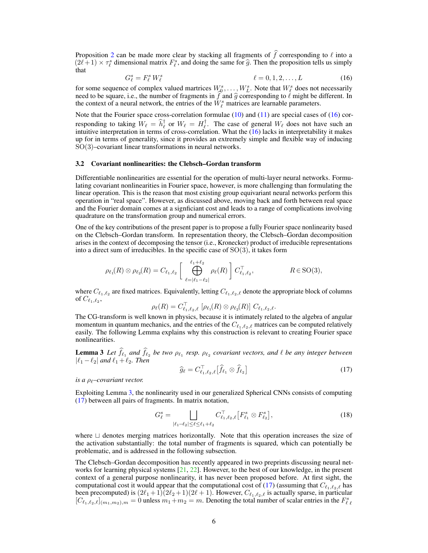Proposition 2 can be made more clear by stacking all fragments of  $\hat{f}$  corresponding to  $\ell$  into a  $(2\ell+1) \times \tau_{\ell}^{s}$  dimensional matrix  $F_{\ell}^{s}$ , and doing the same for  $\widehat{g}$ . Then the proposition tells us simply that that

$$
G_{\ell}^{s} = F_{\ell}^{s} W_{\ell}^{s} \qquad \ell = 0, 1, 2, \dots, L \qquad (16)
$$

for some sequence of complex valued martrices  $W_0^s, \ldots, W_L^s$ . Note that  $W_\ell^s$  does not necessarily need to be square, i.e., the number of fragments in  $\hat{f}$  and  $\hat{g}$  corresponding to  $\hat{\ell}$  might be different. In the context of a neural network, the entries of the  $W_{\ell}^{s}$  matrices are learnable parameters.

Note that the Fourier space cross-correlation formulae  $(10)$  and  $(11)$  are special cases of  $(16)$  corresponding to taking  $W_{\ell} = \hat{h}_{\ell}^{\dagger}$  or  $W_{\ell} = H_{\ell}^{\dagger}$ . The case of general  $W_{\ell}$  does not have such an intuitive interpretation in terms of cross-correlation. What the (16) lacks in interpretability it makes up for in terms of generality, since it provides an extremely simple and flexible way of inducing SO(3)–covariant linear transformations in neural networks.

#### 3.2 Covariant nonlinearities: the Clebsch–Gordan transform

Differentiable nonlinearities are essential for the operation of multi-layer neural networks. Formulating covariant nonlinearities in Fourier space, however, is more challenging than formulating the linear operation. This is the reason that most existing group equivariant neural networks perform this operation in "real space". However, as discussed above, moving back and forth between real space and the Fourier domain comes at a signficiant cost and leads to a range of complications involving quadrature on the transformation group and numerical errors.

One of the key contributions of the present paper is to propose a fully Fourier space nonlinearity based on the Clebsch–Gordan transform. In representation theory, the Clebsch–Gordan decomposition arises in the context of decomposing the tensor (i.e., Kronecker) product of irreducible representations into a direct sum of irreducibles. In the specific case of  $SO(3)$ , it takes form

$$
\rho_{\ell_1}(R) \otimes \rho_{\ell_2}(R) = C_{\ell_1, \ell_2} \left[ \bigoplus_{\ell = |\ell_1 - \ell_2|}^{\ell_1 + \ell_2} \rho_{\ell}(R) \right] C_{\ell_1, \ell_2}^{\top}, \qquad R \in \text{SO}(3),
$$

where  $C_{\ell_1,\ell_2}$  are fixed matrices. Equivalently, letting  $C_{\ell_1,\ell_2,\ell}$  denote the appropriate block of columns of  $C_{\ell_1,\ell_2},$ 

$$
\rho_{\ell}(R) = C_{\ell_1,\ell_2,\ell}^{\top} [\rho_{\ell_1}(R) \otimes \rho_{\ell_2}(R)] C_{\ell_1,\ell_2,\ell}.
$$

The CG-transform is well known in physics, because it is intimately related to the algebra of angular momentum in quantum mechanics, and the entries of the  $C_{\ell_1,\ell_2,\ell}$  matrices can be computed relatively easily. The following Lemma explains why this construction is relevant to creating Fourier space nonlinearities.

**Lemma 3** Let  $f_{\ell_1}$  and  $f_{\ell_2}$  be two  $\rho_{\ell_1}$  resp.  $\rho_{\ell_2}$  covariant vectors, and  $\ell$  be any integer between  $|\ell_1 - \ell_2|$  *and*  $\ell_1 + \ell_2$ *. Then* 

$$
\widehat{g}_{\ell} = C_{\ell_1, \ell_2, \ell}^{\top} \left[ \widehat{f}_{\ell_1} \otimes \widehat{f}_{\ell_2} \right]
$$
\n(17)

*is a ρ<sub>l</sub>*–*covariant vector.* 

Exploiting Lemma 3, the nonlinearity used in our generalized Spherical CNNs consists of computing (17) between all pairs of fragments. In matrix notation,

$$
G_{\ell}^{s} = \bigsqcup_{|\ell_{1} - \ell_{2}| \leq \ell \leq \ell_{1} + \ell_{2}} C_{\ell_{1},\ell_{2},\ell}^{\top} \left[ F_{\ell_{1}}^{s} \otimes F_{\ell_{2}}^{s} \right],
$$
\n(18)

where  $\sqcup$  denotes merging matrices horizontally. Note that this operation increases the size of the activation substantially: the total number of fragments is squared, which can potentially be problematic, and is addressed in the following subsection.

The Clebsch–Gordan decomposition has recently appeared in two preprints discussing neural networks for learning physical systems  $[21, 22]$ . However, to the best of our knowledge, in the present context of a general purpose nonlinearity, it has never been proposed before. At first sight, the computational cost it would appear that the computational cost of (17) (assuming that  $C_{\ell_1,\ell_2,\ell}$  has been precomputed) is  $(2\ell_1 + 1)(2\ell_2 + 1)(2\ell + 1)$ . However,  $C_{\ell_1,\ell_2,\ell}$  is actually sparse, in particular  $[C_{\ell_1,\ell_2,\ell}]_{(m_1,m_2),m} = 0$  unless  $m_1+m_2 = m$ . Denoting the total number of scalar entries in the  $F_{\ell,\ell}^s$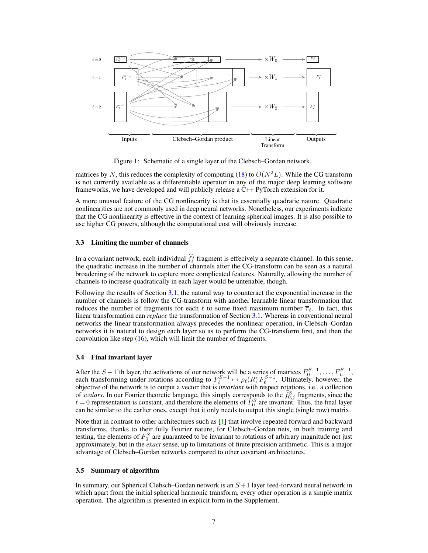

Figure 1: Schematic of a single layer of the Clebsch–Gordan network.

matrices by N, this reduces the complexity of computing (18) to  $O(N^2L)$ . While the CG transform is not currently available as a differentiable operator in any of the major deep learning software frameworks, we have developed and will publicly release a C++ PyTorch extension for it.

A more unusual feature of the CG nonlinearity is that its essentially quadratic nature. Quadratic nonlinearities are not commonly used in deep neural networks. Nonetheless, our experiments indicate that the CG nonlinearity is effective in the context of learning spherical images. It is also possible to use higher CG powers, although the computational cost will obviously increase.

### 3.3 Limiting the number of channels

In a covariant network, each individual  $\hat{f}_e^s$  fragment is effecively a separate channel. In this sense, the quadratic increase in the number of channels after the CG-transform can be seen as a natural broadening of the network to capture more complicated features. Naturally, allowing the number of channels to increase quadratically in each layer would be untenable, though.

Following the results of Section 3.1, the natural way to counteract the exponential increase in the number of channels is follow the CG-transform with another learnable linear transformation that reduces the number of fragments for each  $\ell$  to some fixed maximum number  $\overline{\tau}_{\ell}$ . In fact, this linear transformation can *replace* the transformation of Section 3.1. Whereas in conventional neural networks the linear transformation always precedes the nonlinear operation, in Clebsch–Gordan networks it is natural to design each layer so as to perform the CG-transform first, and then the convolution like step  $(16)$ , which will limit the number of fragments.

## 3.4 Final invariant layer

After the S – 1'th layer, the activations of our network will be a series of matrices  $F_0^{S-1}, \ldots, F_{L}^{S-1}$ , each transforming under rotations according to  $F_{\ell}^{S-1} \mapsto \rho_{\ell}(R) F_{\ell}^{S-1}$ . Ultimately, however, the objective of the network is to output a vector that is *invariant* with respect rotations, i.e., a collection of *scalars*. In our Fourier theoretic language, this simply corresponds to the  $\hat{f}_{0,j}^S$  fragments, since the  $\ell = 0$  representation is constant, and therefore the elements of  $\bar{F}_0^S$  are invariant. Thus, the final layer can be similar to the earlier ones, except that it only needs to output this single (single row) matrix.

Note that in contrast to other architectures such as [1] that involve repeated forward and backward transforms, thanks to their fully Fourier nature, for Clebsch–Gordan nets, in both training and testing, the elements of  $F_0^S$  are guaranteed to be invariant to rotations of arbitrary magnitude not just approximately, but in the *exact* sense, up to limitations of finite precision arithmetic. This is a major advantage of Clebsch–Gordan networks compared to other covariant architectures.

#### 3.5 Summary of algorithm

In summary, our Spherical Clebsch–Gordan network is an  $S+1$  layer feed-forward neural network in which apart from the initial spherical harmonic transform, every other operation is a simple matrix operation. The algorithm is presented in explicit form in the Supplement.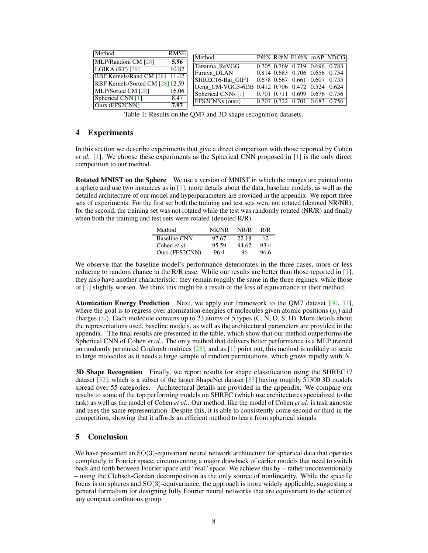| Method                           | <b>RMSE</b> |                                                  |  |                               |                       |
|----------------------------------|-------------|--------------------------------------------------|--|-------------------------------|-----------------------|
|                                  | 5.96        | Method                                           |  |                               | P@N R@N F1@N mAP NDCG |
| MLP/Random CM [28]               |             | Tatsuma_ReVGG                                    |  | 0.705 0.769 0.719 0.696 0.783 |                       |
| LGIKA $(RF)$ [29]                | 10.82       |                                                  |  | 0.814 0.683 0.706 0.656 0.754 |                       |
| RBF Kernels/Rand CM [28] 11.42   |             | Furuya DLAN                                      |  |                               |                       |
| RBF Kernels/Sorted CM [28] 12.59 |             | SHREC16-Bai GIFT 0.678 0.667 0.661 0.607 0.735   |  |                               |                       |
|                                  |             | Deng CM-VGG5-6DB 0.412 0.706 0.472 0.524 0.624   |  |                               |                       |
| MLP/Sorted CM [28]               | 16.06       | Spherical CNNs [1] 0.701 0.711 0.699 0.676 0.756 |  |                               |                       |
| Spherical CNN [1]                | 8.47        |                                                  |  |                               |                       |
| Ours (FFS2CNN)                   | 7.97        | FFS2CNNs (ours) 0.707 0.722 0.701 0.683 0.756    |  |                               |                       |
|                                  |             |                                                  |  |                               |                       |

Table 1: Results on the QM7 and 3D shape recognition datasets.

## 4 Experiments

In this section we describe experiments that give a direct comparison with those reported by Cohen *et al.* [1]. We choose these experiments as the Spherical CNN proposed in [1] is the only direct competition to our method.

**Rotated MNIST on the Sphere** We use a version of MNIST in which the images are painted onto a sphere and use two instances as in [1], more details about the data, baseline models, as well as the detailed architecture of our model and hyperparameters are provided in the appendix. We report three sets of experiments: For the first set both the training and test sets were not rotated (denoted NR/NR), for the second, the training set was not rotated while the test was randomly rotated (NR/R) and finally when both the training and test sets were rotated (denoted R/R).

| Method              | NR/NR | NR/R  | R/R  |
|---------------------|-------|-------|------|
| <b>Baseline CNN</b> | 97.67 | 22.18 | 12   |
| Cohen et al.        | 95.59 | 94.62 | 93.4 |
| Ours (FFS2CNN)      | 96.4  | 96    | 96.6 |

We observe that the baseline model's performance deteriorates in the three cases, more or less reducing to random chance in the R/R case. While our results are better than those reported in [1], they also have another characteristic: they remain roughly the same in the three regimes, while those of  $[1]$  slightly worsen. We think this might be a result of the loss of equivariance in their method.

Atomization Energy Prediction Next, we apply our framework to the QM7 dataset [30, 31], where the goal is to regress over atomization energies of molecules given atomic positions  $(p<sub>i</sub>)$  and charges  $(z<sub>i</sub>)$ . Each molecule contains up to 23 atoms of 5 types  $(C, N, O, S, H)$ . More details about the representations used, baseline models, as well as the architectural parameters are provided in the appendix. The final results are presented in the table, which show that our method outperforms the Spherical CNN of Cohen *et al.*. The only method that delivers better performance is a MLP trained on randomly permuted Coulomb matrices  $[28]$ , and as  $[1]$  point out, this method is unlikely to scale to large molecules as it needs a large sample of random permutations, which grows rapidly with  $N$ .

3D Shape Recognition Finally, we report results for shape classification using the SHREC17 dataset [32], which is a subset of the larger ShapeNet dataset [33] having roughly 51300 3D models spread over 55 categories. Architectural details are provided in the appendix. We compare our results to some of the top performing models on SHREC (which use architectures specialized to the task) as well as the model of Cohen *et al.*. Our method, like the model of Cohen *et al.* is task agnostic and uses the same representation. Despite this, it is able to consistently come second or third in the competition, showing that it affords an efficient method to learn from spherical signals.

# 5 Conclusion

We have presented an SO(3)-equivariant neural network architecture for spherical data that operates completely in Fourier space, circumventing a major drawback of earlier models that need to switch back and forth between Fourier space and "real" space. We achieve this by – rather unconventionally – using the Clebsch-Gordan decomposition as the only source of nonlinearity. While the specific focus is on spheres and SO(3)-equivariance, the approach is more widely applicable, suggesting a general formalism for designing fully Fourier neural networks that are equivariant to the action of any compact continuous group.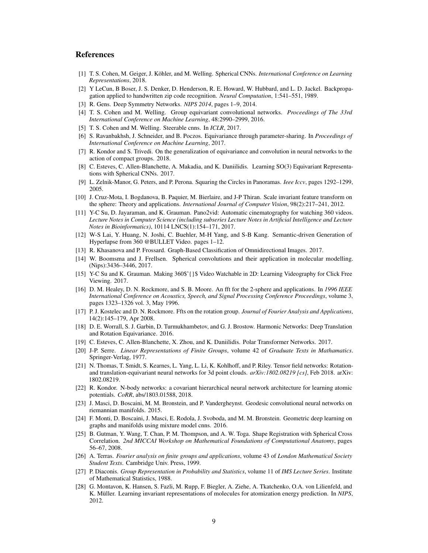## References

- [1] T. S. Cohen, M. Geiger, J. Köhler, and M. Welling. Spherical CNNs. *International Conference on Learning Representations*, 2018.
- [2] Y LeCun, B Boser, J. S. Denker, D. Henderson, R. E. Howard, W. Hubbard, and L. D. Jackel. Backpropagation applied to handwritten zip code recognition. *Neural Computation*, 1:541–551, 1989.
- [3] R. Gens. Deep Symmetry Networks. *NIPS 2014*, pages 1–9, 2014.
- [4] T. S. Cohen and M. Welling. Group equivariant convolutional networks. *Proceedings of The 33rd International Conference on Machine Learning*, 48:2990–2999, 2016.
- [5] T. S. Cohen and M. Welling. Steerable cnns. In *ICLR*, 2017.
- [6] S. Ravanbakhsh, J. Schneider, and B. Poczos. Equivariance through parameter-sharing. In *Proceedings of International Conference on Machine Learning*, 2017.
- [7] R. Kondor and S. Trivedi. On the generalization of equivariance and convolution in neural networks to the action of compact groups. 2018.
- [8] C. Esteves, C. Allen-Blanchette, A. Makadia, and K. Daniilidis. Learning SO(3) Equivariant Representations with Spherical CNNs. 2017.
- [9] L. Zelnik-Manor, G. Peters, and P. Perona. Squaring the Circles in Panoramas. *Ieee Iccv*, pages 1292–1299, 2005.
- [10] J. Cruz-Mota, I. Bogdanova, B. Paquier, M. Bierlaire, and J-P Thiran. Scale invariant feature transform on the sphere: Theory and applications. *International Journal of Computer Vision*, 98(2):217–241, 2012.
- [11] Y-C Su, D. Jayaraman, and K. Grauman. Pano2vid: Automatic cinematography for watching 360 videos. *Lecture Notes in Computer Science (including subseries Lecture Notes in Artificial Intelligence and Lecture Notes in Bioinformatics)*, 10114 LNCS(1):154–171, 2017.
- [12] W-S Lai, Y. Huang, N. Joshi, C. Buehler, M-H Yang, and S-B Kang. Semantic-driven Generation of Hyperlapse from 360 @BULLET Video. pages 1–12.
- [13] R. Khasanova and P. Frossard. Graph-Based Classification of Omnidirectional Images. 2017.
- [14] W. Boomsma and J. Frellsen. Spherical convolutions and their application in molecular modelling. (Nips):3436–3446, 2017.
- [15] Y-C Su and K. Grauman. Making 360\$^{}\$ Video Watchable in 2D: Learning Videography for Click Free Viewing. 2017.
- [16] D. M. Healey, D. N. Rockmore, and S. B. Moore. An fft for the 2-sphere and applications. In *1996 IEEE International Conference on Acoustics, Speech, and Signal Processing Conference Proceedings*, volume 3, pages 1323–1326 vol. 3, May 1996.
- [17] P. J. Kostelec and D. N. Rockmore. Ffts on the rotation group. *Journal of Fourier Analysis and Applications*, 14(2):145–179, Apr 2008.
- [18] D. E. Worrall, S. J. Garbin, D. Turmukhambetov, and G. J. Brostow. Harmonic Networks: Deep Translation and Rotation Equivariance. 2016.
- [19] C. Esteves, C. Allen-Blanchette, X. Zhou, and K. Daniilidis. Polar Transformer Networks. 2017.
- [20] J-P. Serre. *Linear Representations of Finite Groups*, volume 42 of *Graduate Texts in Mathamatics*. Springer-Verlag, 1977.
- [21] N. Thomas, T. Smidt, S. Kearnes, L. Yang, L. Li, K. Kohlhoff, and P. Riley. Tensor field networks: Rotationand translation-equivariant neural networks for 3d point clouds. *arXiv:1802.08219 [cs]*, Feb 2018. arXiv: 1802.08219.
- [22] R. Kondor. N-body networks: a covariant hierarchical neural network architecture for learning atomic potentials. *CoRR*, abs/1803.01588, 2018.
- [23] J. Masci, D. Boscaini, M. M. Bronstein, and P. Vandergheynst. Geodesic convolutional neural networks on riemannian manifolds. 2015.
- [24] F. Monti, D. Boscaini, J. Masci, E. Rodola, J. Svoboda, and M. M. Bronstein. Geometric deep learning on graphs and manifolds using mixture model cnns. 2016.
- [25] B. Gutman, Y. Wang, T. Chan, P. M. Thompson, and A. W. Toga. Shape Registration with Spherical Cross Correlation. *2nd MICCAI Workshop on Mathematical Foundations of Computational Anatomy*, pages 56–67, 2008.
- [26] A. Terras. *Fourier analysis on finite groups and applications*, volume 43 of *London Mathematical Society Student Texts*. Cambridge Univ. Press, 1999.
- [27] P. Diaconis. *Group Representation in Probability and Statistics*, volume 11 of *IMS Lecture Series*. Institute of Mathematical Statistics, 1988.
- [28] G. Montavon, K. Hansen, S. Fazli, M. Rupp, F. Biegler, A. Ziehe, A. Tkatchenko, O.A. von Lilienfeld, and K. Müller. Learning invariant representations of molecules for atomization energy prediction. In *NIPS*, 2012.